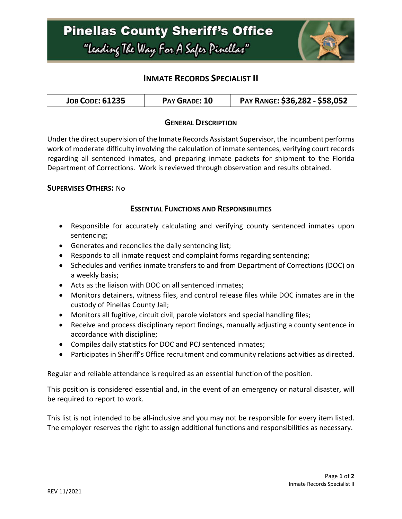

# **INMATE RECORDS SPECIALIST II**

| <b>JOB CODE: 61235</b> | PAY GRADE: 10 | PAY RANGE: \$36,282 - \$58,052 |
|------------------------|---------------|--------------------------------|
|------------------------|---------------|--------------------------------|

### **GENERAL DESCRIPTION**

Under the direct supervision of the Inmate Records Assistant Supervisor, the incumbent performs work of moderate difficulty involving the calculation of inmate sentences, verifying court records regarding all sentenced inmates, and preparing inmate packets for shipment to the Florida Department of Corrections. Work is reviewed through observation and results obtained.

### **SUPERVISES OTHERS:** No

### **ESSENTIAL FUNCTIONS AND RESPONSIBILITIES**

- Responsible for accurately calculating and verifying county sentenced inmates upon sentencing;
- Generates and reconciles the daily sentencing list;
- Responds to all inmate request and complaint forms regarding sentencing;
- Schedules and verifies inmate transfers to and from Department of Corrections (DOC) on a weekly basis;
- Acts as the liaison with DOC on all sentenced inmates;
- Monitors detainers, witness files, and control release files while DOC inmates are in the custody of Pinellas County Jail;
- Monitors all fugitive, circuit civil, parole violators and special handling files;
- Receive and process disciplinary report findings, manually adjusting a county sentence in accordance with discipline;
- Compiles daily statistics for DOC and PCJ sentenced inmates;
- Participates in Sheriff's Office recruitment and community relations activities as directed.

Regular and reliable attendance is required as an essential function of the position.

This position is considered essential and, in the event of an emergency or natural disaster, will be required to report to work.

This list is not intended to be all-inclusive and you may not be responsible for every item listed. The employer reserves the right to assign additional functions and responsibilities as necessary.